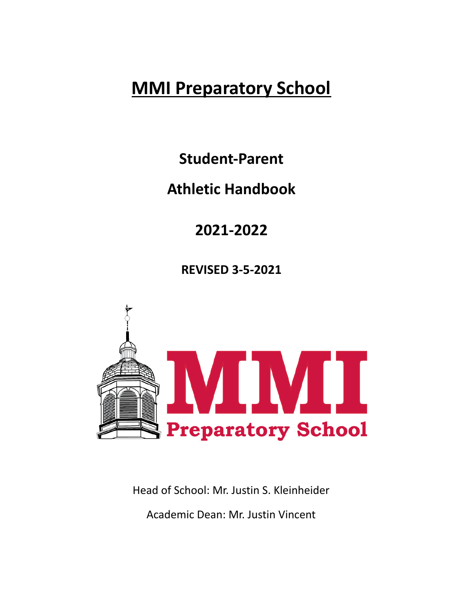# **MMI Preparatory School**

**Student-Parent**

## **Athletic Handbook**

**2021-2022**

**REVISED 3-5-2021**



Head of School: Mr. Justin S. Kleinheider

Academic Dean: Mr. Justin Vincent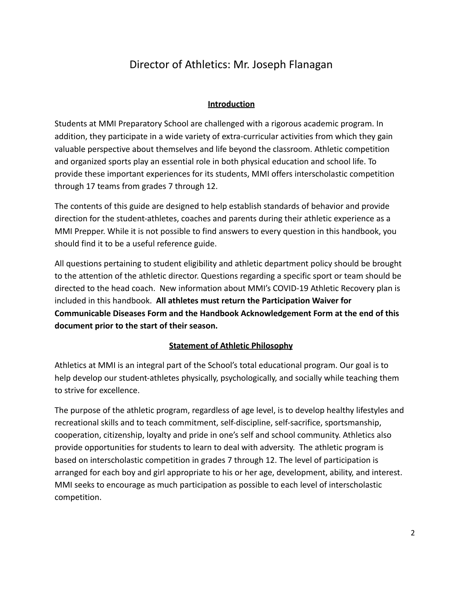## Director of Athletics: Mr. Joseph Flanagan

## **Introduction**

Students at MMI Preparatory School are challenged with a rigorous academic program. In addition, they participate in a wide variety of extra-curricular activities from which they gain valuable perspective about themselves and life beyond the classroom. Athletic competition and organized sports play an essential role in both physical education and school life. To provide these important experiences for its students, MMI offers interscholastic competition through 17 teams from grades 7 through 12.

The contents of this guide are designed to help establish standards of behavior and provide direction for the student-athletes, coaches and parents during their athletic experience as a MMI Prepper. While it is not possible to find answers to every question in this handbook, you should find it to be a useful reference guide.

All questions pertaining to student eligibility and athletic department policy should be brought to the attention of the athletic director. Questions regarding a specific sport or team should be directed to the head coach. New information about MMI's COVID-19 Athletic Recovery plan is included in this handbook. **All athletes must return the Participation Waiver for Communicable Diseases Form and the Handbook Acknowledgement Form at the end of this document prior to the start of their season.**

#### **Statement of Athletic Philosophy**

Athletics at MMI is an integral part of the School's total educational program. Our goal is to help develop our student-athletes physically, psychologically, and socially while teaching them to strive for excellence.

The purpose of the athletic program, regardless of age level, is to develop healthy lifestyles and recreational skills and to teach commitment, self-discipline, self-sacrifice, sportsmanship, cooperation, citizenship, loyalty and pride in one's self and school community. Athletics also provide opportunities for students to learn to deal with adversity. The athletic program is based on interscholastic competition in grades 7 through 12. The level of participation is arranged for each boy and girl appropriate to his or her age, development, ability, and interest. MMI seeks to encourage as much participation as possible to each level of interscholastic competition.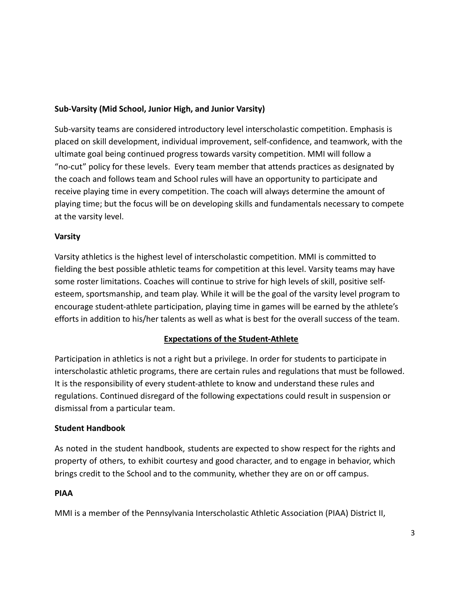## **Sub-Varsity (Mid School, Junior High, and Junior Varsity)**

Sub-varsity teams are considered introductory level interscholastic competition. Emphasis is placed on skill development, individual improvement, self-confidence, and teamwork, with the ultimate goal being continued progress towards varsity competition. MMI will follow a "no-cut" policy for these levels. Every team member that attends practices as designated by the coach and follows team and School rules will have an opportunity to participate and receive playing time in every competition. The coach will always determine the amount of playing time; but the focus will be on developing skills and fundamentals necessary to compete at the varsity level.

## **Varsity**

Varsity athletics is the highest level of interscholastic competition. MMI is committed to fielding the best possible athletic teams for competition at this level. Varsity teams may have some roster limitations. Coaches will continue to strive for high levels of skill, positive selfesteem, sportsmanship, and team play. While it will be the goal of the varsity level program to encourage student-athlete participation, playing time in games will be earned by the athlete's efforts in addition to his/her talents as well as what is best for the overall success of the team.

## **Expectations of the Student-Athlete**

Participation in athletics is not a right but a privilege. In order for students to participate in interscholastic athletic programs, there are certain rules and regulations that must be followed. It is the responsibility of every student-athlete to know and understand these rules and regulations. Continued disregard of the following expectations could result in suspension or dismissal from a particular team.

## **Student Handbook**

As noted in the student handbook, students are expected to show respect for the rights and property of others, to exhibit courtesy and good character, and to engage in behavior, which brings credit to the School and to the community, whether they are on or off campus.

#### **PIAA**

MMI is a member of the Pennsylvania Interscholastic Athletic Association (PIAA) District II,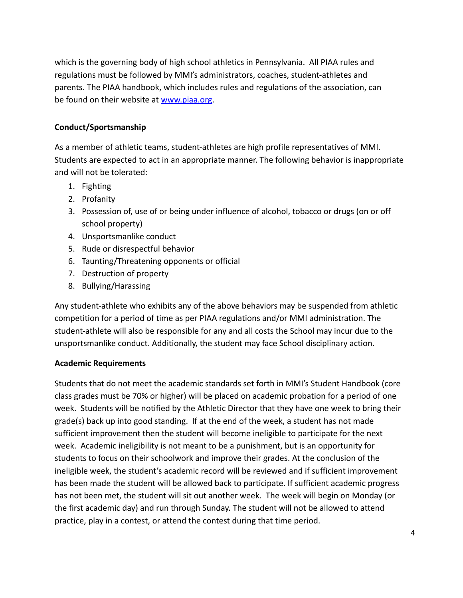which is the governing body of high school athletics in Pennsylvania. All PIAA rules and regulations must be followed by MMI's administrators, coaches, student-athletes and parents. The PIAA handbook, which includes rules and regulations of the association, can be found on their website at [www.piaa.org.](http://www.piaa.org/)

## **Conduct/Sportsmanship**

As a member of athletic teams, student-athletes are high profile representatives of MMI. Students are expected to act in an appropriate manner. The following behavior is inappropriate and will not be tolerated:

- 1. Fighting
- 2. Profanity
- 3. Possession of, use of or being under influence of alcohol, tobacco or drugs (on or off school property)
- 4. Unsportsmanlike conduct
- 5. Rude or disrespectful behavior
- 6. Taunting/Threatening opponents or official
- 7. Destruction of property
- 8. Bullying/Harassing

Any student-athlete who exhibits any of the above behaviors may be suspended from athletic competition for a period of time as per PIAA regulations and/or MMI administration. The student-athlete will also be responsible for any and all costs the School may incur due to the unsportsmanlike conduct. Additionally, the student may face School disciplinary action.

#### **Academic Requirements**

Students that do not meet the academic standards set forth in MMI's Student Handbook (core class grades must be 70% or higher) will be placed on academic probation for a period of one week. Students will be notified by the Athletic Director that they have one week to bring their grade(s) back up into good standing. If at the end of the week, a student has not made sufficient improvement then the student will become ineligible to participate for the next week. Academic ineligibility is not meant to be a punishment, but is an opportunity for students to focus on their schoolwork and improve their grades. At the conclusion of the ineligible week, the student's academic record will be reviewed and if sufficient improvement has been made the student will be allowed back to participate. If sufficient academic progress has not been met, the student will sit out another week. The week will begin on Monday (or the first academic day) and run through Sunday. The student will not be allowed to attend practice, play in a contest, or attend the contest during that time period.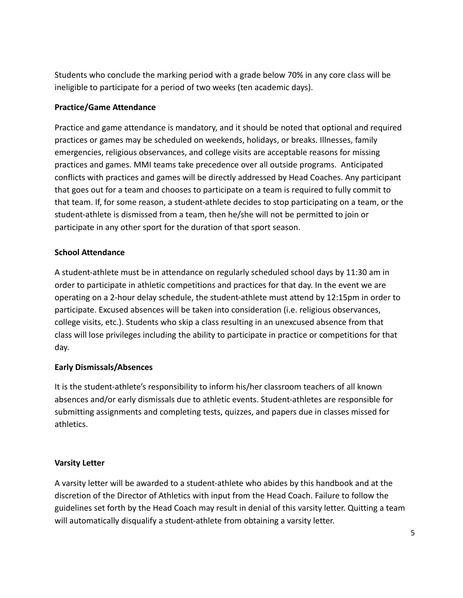Students who conclude the marking period with a grade below 70% in any core class will be ineligible to participate for a period of two weeks (ten academic days).

## **Practice/Game Attendance**

Practice and game attendance is mandatory, and it should be noted that optional and required practices or games may be scheduled on weekends, holidays, or breaks. Illnesses, family emergencies, religious observances, and college visits are acceptable reasons for missing practices and games. MMI teams take precedence over all outside programs. Anticipated conflicts with practices and games will be directly addressed by Head Coaches. Any participant that goes out for a team and chooses to participate on a team is required to fully commit to that team. If, for some reason, a student-athlete decides to stop participating on a team, or the student-athlete is dismissed from a team, then he/she will not be permitted to join or participate in any other sport for the duration of that sport season.

## **School Attendance**

A student-athlete must be in attendance on regularly scheduled school days by 11:30 am in order to participate in athletic competitions and practices for that day. In the event we are operating on a 2-hour delay schedule, the student-athlete must attend by 12:15pm in order to participate. Excused absences will be taken into consideration (i.e. religious observances, college visits, etc.). Students who skip a class resulting in an unexcused absence from that class will lose privileges including the ability to participate in practice or competitions for that day.

## **Early Dismissals/Absences**

It is the student-athlete's responsibility to inform his/her classroom teachers of all known absences and/or early dismissals due to athletic events. Student-athletes are responsible for submitting assignments and completing tests, quizzes, and papers due in classes missed for athletics.

## **Varsity Letter**

A varsity letter will be awarded to a student-athlete who abides by this handbook and at the discretion of the Director of Athletics with input from the Head Coach. Failure to follow the guidelines set forth by the Head Coach may result in denial of this varsity letter. Quitting a team will automatically disqualify a student-athlete from obtaining a varsity letter.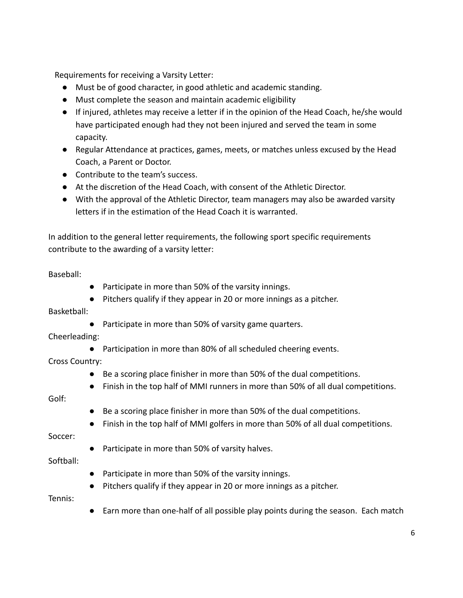Requirements for receiving a Varsity Letter:

- Must be of good character, in good athletic and academic standing.
- Must complete the season and maintain academic eligibility
- If injured, athletes may receive a letter if in the opinion of the Head Coach, he/she would have participated enough had they not been injured and served the team in some capacity.
- Regular Attendance at practices, games, meets, or matches unless excused by the Head Coach, a Parent or Doctor.
- Contribute to the team's success.
- At the discretion of the Head Coach, with consent of the Athletic Director.
- With the approval of the Athletic Director, team managers may also be awarded varsity letters if in the estimation of the Head Coach it is warranted.

In addition to the general letter requirements, the following sport specific requirements contribute to the awarding of a varsity letter:

#### Baseball:

- Participate in more than 50% of the varsity innings.
- Pitchers qualify if they appear in 20 or more innings as a pitcher.

Basketball:

● Participate in more than 50% of varsity game quarters.

#### Cheerleading:

● Participation in more than 80% of all scheduled cheering events.

Cross Country:

- Be a scoring place finisher in more than 50% of the dual competitions.
- Finish in the top half of MMI runners in more than 50% of all dual competitions.

Golf:

- Be a scoring place finisher in more than 50% of the dual competitions.
- Finish in the top half of MMI golfers in more than 50% of all dual competitions.

Soccer:

● Participate in more than 50% of varsity halves.

Softball:

- Participate in more than 50% of the varsity innings.
- Pitchers qualify if they appear in 20 or more innings as a pitcher.

Tennis:

● Earn more than one-half of all possible play points during the season. Each match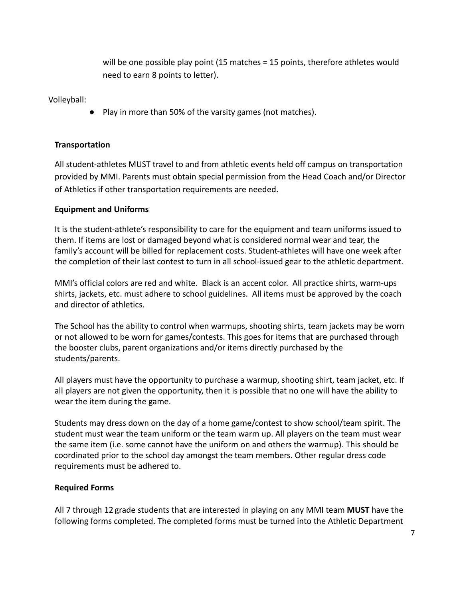will be one possible play point (15 matches = 15 points, therefore athletes would need to earn 8 points to letter).

Volleyball:

● Play in more than 50% of the varsity games (not matches).

#### **Transportation**

All student-athletes MUST travel to and from athletic events held off campus on transportation provided by MMI. Parents must obtain special permission from the Head Coach and/or Director of Athletics if other transportation requirements are needed.

#### **Equipment and Uniforms**

It is the student-athlete's responsibility to care for the equipment and team uniforms issued to them. If items are lost or damaged beyond what is considered normal wear and tear, the family's account will be billed for replacement costs. Student-athletes will have one week after the completion of their last contest to turn in all school-issued gear to the athletic department.

MMI's official colors are red and white. Black is an accent color. All practice shirts, warm-ups shirts, jackets, etc. must adhere to school guidelines. All items must be approved by the coach and director of athletics.

The School has the ability to control when warmups, shooting shirts, team jackets may be worn or not allowed to be worn for games/contests. This goes for items that are purchased through the booster clubs, parent organizations and/or items directly purchased by the students/parents.

All players must have the opportunity to purchase a warmup, shooting shirt, team jacket, etc. If all players are not given the opportunity, then it is possible that no one will have the ability to wear the item during the game.

Students may dress down on the day of a home game/contest to show school/team spirit. The student must wear the team uniform or the team warm up. All players on the team must wear the same item (i.e. some cannot have the uniform on and others the warmup). This should be coordinated prior to the school day amongst the team members. Other regular dress code requirements must be adhered to.

#### **Required Forms**

All 7 through 12 grade students that are interested in playing on any MMI team **MUST** have the following forms completed. The completed forms must be turned into the Athletic Department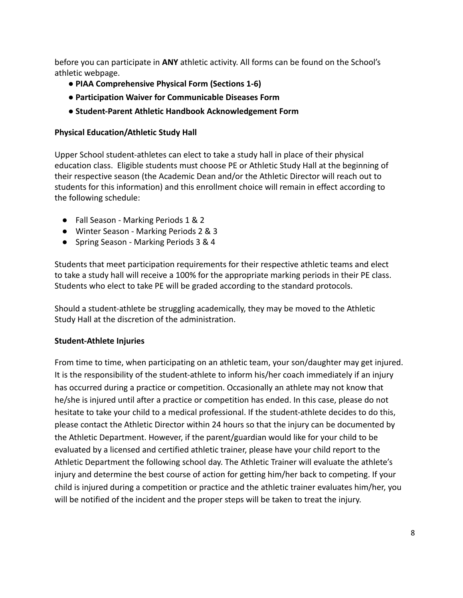before you can participate in **ANY** athletic activity. All forms can be found on the School's athletic webpage.

- **● PIAA Comprehensive Physical Form (Sections 1-6)**
- **● Participation Waiver for Communicable Diseases Form**
- **● Student-Parent Athletic Handbook Acknowledgement Form**

#### **Physical Education/Athletic Study Hall**

Upper School student-athletes can elect to take a study hall in place of their physical education class. Eligible students must choose PE or Athletic Study Hall at the beginning of their respective season (the Academic Dean and/or the Athletic Director will reach out to students for this information) and this enrollment choice will remain in effect according to the following schedule:

- Fall Season Marking Periods 1 & 2
- Winter Season Marking Periods 2 & 3
- Spring Season Marking Periods 3 & 4

Students that meet participation requirements for their respective athletic teams and elect to take a study hall will receive a 100% for the appropriate marking periods in their PE class. Students who elect to take PE will be graded according to the standard protocols.

Should a student-athlete be struggling academically, they may be moved to the Athletic Study Hall at the discretion of the administration.

#### **Student-Athlete Injuries**

From time to time, when participating on an athletic team, your son/daughter may get injured. It is the responsibility of the student-athlete to inform his/her coach immediately if an injury has occurred during a practice or competition. Occasionally an athlete may not know that he/she is injured until after a practice or competition has ended. In this case, please do not hesitate to take your child to a medical professional. If the student-athlete decides to do this, please contact the Athletic Director within 24 hours so that the injury can be documented by the Athletic Department. However, if the parent/guardian would like for your child to be evaluated by a licensed and certified athletic trainer, please have your child report to the Athletic Department the following school day. The Athletic Trainer will evaluate the athlete's injury and determine the best course of action for getting him/her back to competing. If your child is injured during a competition or practice and the athletic trainer evaluates him/her, you will be notified of the incident and the proper steps will be taken to treat the injury.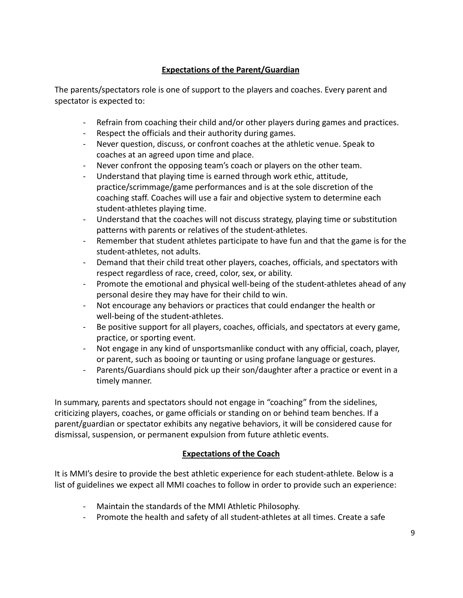## **Expectations of the Parent/Guardian**

The parents/spectators role is one of support to the players and coaches. Every parent and spectator is expected to:

- Refrain from coaching their child and/or other players during games and practices.
- Respect the officials and their authority during games.
- Never question, discuss, or confront coaches at the athletic venue. Speak to coaches at an agreed upon time and place.
- Never confront the opposing team's coach or players on the other team.
- Understand that playing time is earned through work ethic, attitude, practice/scrimmage/game performances and is at the sole discretion of the coaching staff. Coaches will use a fair and objective system to determine each student-athletes playing time.
- Understand that the coaches will not discuss strategy, playing time or substitution patterns with parents or relatives of the student-athletes.
- Remember that student athletes participate to have fun and that the game is for the student-athletes, not adults.
- Demand that their child treat other players, coaches, officials, and spectators with respect regardless of race, creed, color, sex, or ability.
- Promote the emotional and physical well-being of the student-athletes ahead of any personal desire they may have for their child to win.
- Not encourage any behaviors or practices that could endanger the health or well-being of the student-athletes.
- Be positive support for all players, coaches, officials, and spectators at every game, practice, or sporting event.
- Not engage in any kind of unsportsmanlike conduct with any official, coach, player, or parent, such as booing or taunting or using profane language or gestures.
- Parents/Guardians should pick up their son/daughter after a practice or event in a timely manner.

In summary, parents and spectators should not engage in "coaching" from the sidelines, criticizing players, coaches, or game officials or standing on or behind team benches. If a parent/guardian or spectator exhibits any negative behaviors, it will be considered cause for dismissal, suspension, or permanent expulsion from future athletic events.

## **Expectations of the Coach**

It is MMI's desire to provide the best athletic experience for each student-athlete. Below is a list of guidelines we expect all MMI coaches to follow in order to provide such an experience:

- Maintain the standards of the MMI Athletic Philosophy.
- Promote the health and safety of all student-athletes at all times. Create a safe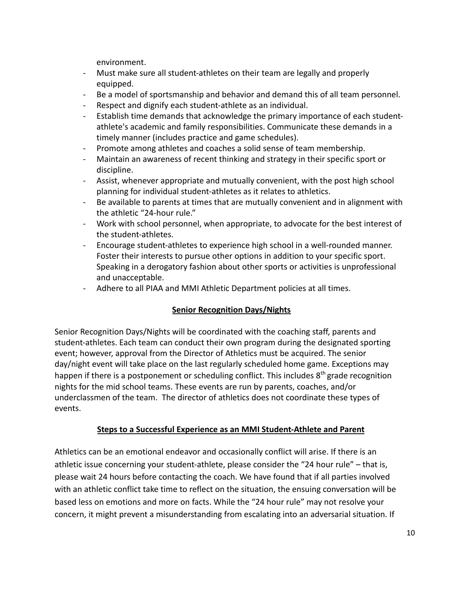environment.

- Must make sure all student-athletes on their team are legally and properly equipped.
- Be a model of sportsmanship and behavior and demand this of all team personnel.
- Respect and dignify each student-athlete as an individual.
- Establish time demands that acknowledge the primary importance of each studentathlete's academic and family responsibilities. Communicate these demands in a timely manner (includes practice and game schedules).
- Promote among athletes and coaches a solid sense of team membership.
- Maintain an awareness of recent thinking and strategy in their specific sport or discipline.
- Assist, whenever appropriate and mutually convenient, with the post high school planning for individual student-athletes as it relates to athletics.
- Be available to parents at times that are mutually convenient and in alignment with the athletic "24-hour rule."
- Work with school personnel, when appropriate, to advocate for the best interest of the student-athletes.
- Encourage student-athletes to experience high school in a well-rounded manner. Foster their interests to pursue other options in addition to your specific sport. Speaking in a derogatory fashion about other sports or activities is unprofessional and unacceptable.
- Adhere to all PIAA and MMI Athletic Department policies at all times.

## **Senior Recognition Days/Nights**

Senior Recognition Days/Nights will be coordinated with the coaching staff, parents and student-athletes. Each team can conduct their own program during the designated sporting event; however, approval from the Director of Athletics must be acquired. The senior day/night event will take place on the last regularly scheduled home game. Exceptions may happen if there is a postponement or scheduling conflict. This includes  $8<sup>th</sup>$  grade recognition nights for the mid school teams. These events are run by parents, coaches, and/or underclassmen of the team. The director of athletics does not coordinate these types of events.

## **Steps to a Successful Experience as an MMI Student-Athlete and Parent**

Athletics can be an emotional endeavor and occasionally conflict will arise. If there is an athletic issue concerning your student-athlete, please consider the "24 hour rule" – that is, please wait 24 hours before contacting the coach. We have found that if all parties involved with an athletic conflict take time to reflect on the situation, the ensuing conversation will be based less on emotions and more on facts. While the "24 hour rule" may not resolve your concern, it might prevent a misunderstanding from escalating into an adversarial situation. If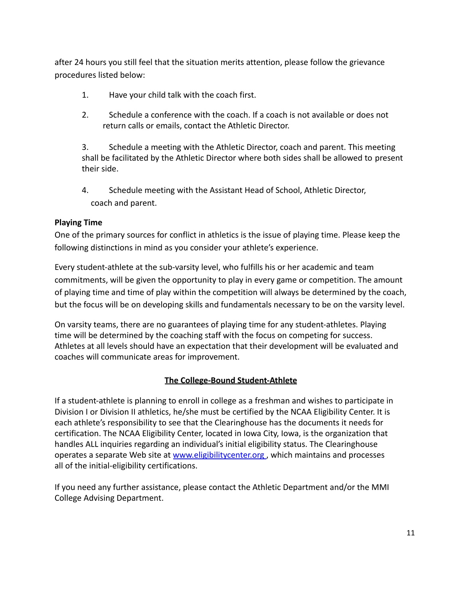after 24 hours you still feel that the situation merits attention, please follow the grievance procedures listed below:

- 1. Have your child talk with the coach first.
- 2. Schedule a conference with the coach. If a coach is not available or does not return calls or emails, contact the Athletic Director.

3. Schedule a meeting with the Athletic Director, coach and parent. This meeting shall be facilitated by the Athletic Director where both sides shall be allowed to present their side.

4. Schedule meeting with the Assistant Head of School, Athletic Director, coach and parent.

#### **Playing Time**

One of the primary sources for conflict in athletics is the issue of playing time. Please keep the following distinctions in mind as you consider your athlete's experience.

Every student-athlete at the sub-varsity level, who fulfills his or her academic and team commitments, will be given the opportunity to play in every game or competition. The amount of playing time and time of play within the competition will always be determined by the coach, but the focus will be on developing skills and fundamentals necessary to be on the varsity level.

On varsity teams, there are no guarantees of playing time for any student-athletes. Playing time will be determined by the coaching staff with the focus on competing for success. Athletes at all levels should have an expectation that their development will be evaluated and coaches will communicate areas for improvement.

#### **The College-Bound Student-Athlete**

If a student-athlete is planning to enroll in college as a freshman and wishes to participate in Division I or Division II athletics, he/she must be certified by the NCAA Eligibility Center. It is each athlete's responsibility to see that the Clearinghouse has the documents it needs for certification. The NCAA Eligibility Center, located in Iowa City, Iowa, is the organization that handles ALL inquiries regarding an individual's initial eligibility status. The Clearinghouse operates a separate Web site at www.eligibilitycenter.org, which maintains and processes all of the initial-eligibility certifications.

If you need any further assistance, please contact the Athletic Department and/or the MMI College Advising Department.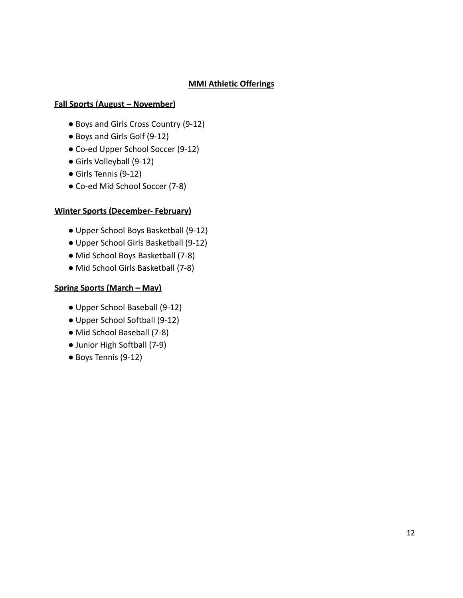## **MMI Athletic Offerings**

#### **Fall Sports (August – November)**

- Boys and Girls Cross Country (9-12)
- Boys and Girls Golf (9-12)
- Co-ed Upper School Soccer (9-12)
- Girls Volleyball (9-12)
- Girls Tennis (9-12)
- Co-ed Mid School Soccer (7-8)

#### **Winter Sports (December- February)**

- Upper School Boys Basketball (9-12)
- Upper School Girls Basketball (9-12)
- Mid School Boys Basketball (7-8)
- Mid School Girls Basketball (7-8)

#### **Spring Sports (March – May)**

- Upper School Baseball (9-12)
- Upper School Softball (9-12)
- Mid School Baseball (7-8)
- Junior High Softball (7-9)
- Boys Tennis (9-12)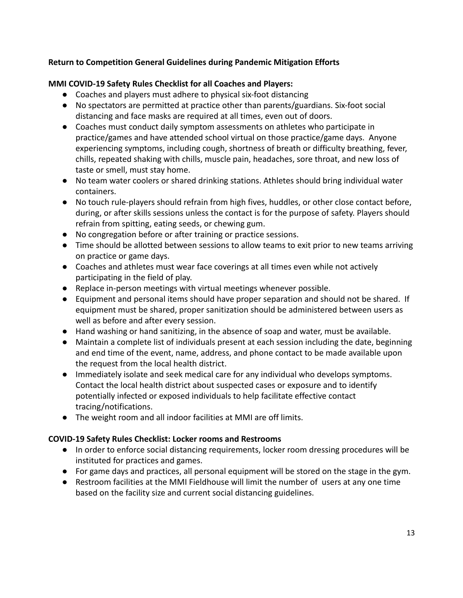## **Return to Competition General Guidelines during Pandemic Mitigation Efforts**

## **MMI COVID-19 Safety Rules Checklist for all Coaches and Players:**

- Coaches and players must adhere to physical six-foot distancing
- No spectators are permitted at practice other than parents/guardians. Six-foot social distancing and face masks are required at all times, even out of doors.
- Coaches must conduct daily symptom assessments on athletes who participate in practice/games and have attended school virtual on those practice/game days. Anyone experiencing symptoms, including cough, shortness of breath or difficulty breathing, fever, chills, repeated shaking with chills, muscle pain, headaches, sore throat, and new loss of taste or smell, must stay home.
- No team water coolers or shared drinking stations. Athletes should bring individual water containers.
- No touch rule-players should refrain from high fives, huddles, or other close contact before, during, or after skills sessions unless the contact is for the purpose of safety. Players should refrain from spitting, eating seeds, or chewing gum.
- No congregation before or after training or practice sessions.
- Time should be allotted between sessions to allow teams to exit prior to new teams arriving on practice or game days.
- Coaches and athletes must wear face coverings at all times even while not actively participating in the field of play.
- Replace in-person meetings with virtual meetings whenever possible.
- Equipment and personal items should have proper separation and should not be shared. If equipment must be shared, proper sanitization should be administered between users as well as before and after every session.
- Hand washing or hand sanitizing, in the absence of soap and water, must be available.
- Maintain a complete list of individuals present at each session including the date, beginning and end time of the event, name, address, and phone contact to be made available upon the request from the local health district.
- Immediately isolate and seek medical care for any individual who develops symptoms. Contact the local health district about suspected cases or exposure and to identify potentially infected or exposed individuals to help facilitate effective contact tracing/notifications.
- The weight room and all indoor facilities at MMI are off limits.

#### **COVID-19 Safety Rules Checklist: Locker rooms and Restrooms**

- In order to enforce social distancing requirements, locker room dressing procedures will be instituted for practices and games.
- For game days and practices, all personal equipment will be stored on the stage in the gym.
- Restroom facilities at the MMI Fieldhouse will limit the number of users at any one time based on the facility size and current social distancing guidelines.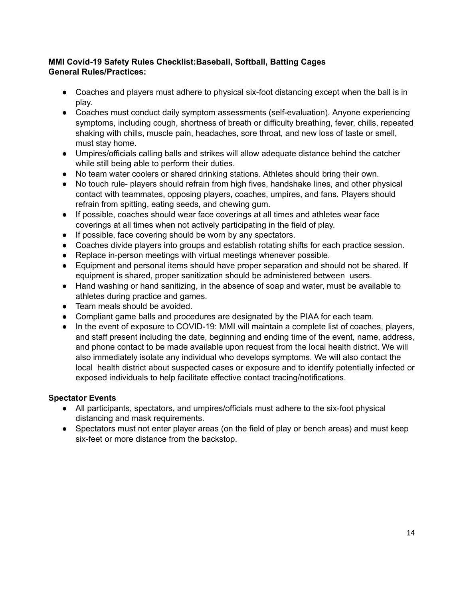## **MMI Covid-19 Safety Rules Checklist:Baseball, Softball, Batting Cages General Rules/Practices:**

- Coaches and players must adhere to physical six-foot distancing except when the ball is in play.
- Coaches must conduct daily symptom assessments (self-evaluation). Anyone experiencing symptoms, including cough, shortness of breath or difficulty breathing, fever, chills, repeated shaking with chills, muscle pain, headaches, sore throat, and new loss of taste or smell, must stay home.
- Umpires/officials calling balls and strikes will allow adequate distance behind the catcher while still being able to perform their duties.
- No team water coolers or shared drinking stations. Athletes should bring their own.
- No touch rule- players should refrain from high fives, handshake lines, and other physical contact with teammates, opposing players, coaches, umpires, and fans. Players should refrain from spitting, eating seeds, and chewing gum.
- If possible, coaches should wear face coverings at all times and athletes wear face coverings at all times when not actively participating in the field of play.
- If possible, face covering should be worn by any spectators.
- Coaches divide players into groups and establish rotating shifts for each practice session.
- Replace in-person meetings with virtual meetings whenever possible.
- Equipment and personal items should have proper separation and should not be shared. If equipment is shared, proper sanitization should be administered between users.
- Hand washing or hand sanitizing, in the absence of soap and water, must be available to athletes during practice and games.
- Team meals should be avoided.
- Compliant game balls and procedures are designated by the PIAA for each team.
- In the event of exposure to COVID-19: MMI will maintain a complete list of coaches, players, and staff present including the date, beginning and ending time of the event, name, address, and phone contact to be made available upon request from the local health district. We will also immediately isolate any individual who develops symptoms. We will also contact the local health district about suspected cases or exposure and to identify potentially infected or exposed individuals to help facilitate effective contact tracing/notifications.

## **Spectator Events**

- All participants, spectators, and umpires/officials must adhere to the six-foot physical distancing and mask requirements.
- Spectators must not enter player areas (on the field of play or bench areas) and must keep six-feet or more distance from the backstop.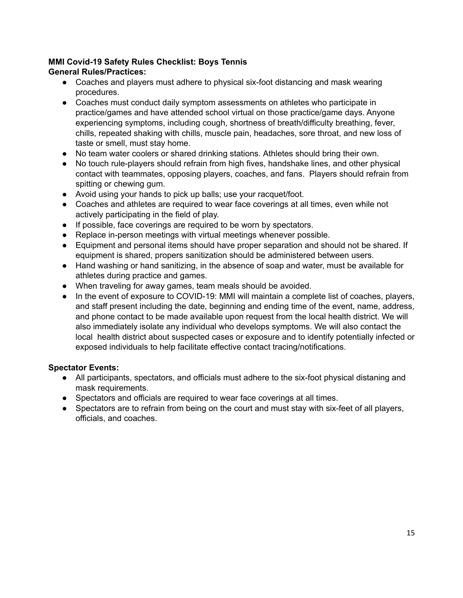## **MMI Covid-19 Safety Rules Checklist: Boys Tennis General Rules/Practices:**

- Coaches and players must adhere to physical six-foot distancing and mask wearing procedures.
- Coaches must conduct daily symptom assessments on athletes who participate in practice/games and have attended school virtual on those practice/game days. Anyone experiencing symptoms, including cough, shortness of breath/difficulty breathing, fever, chills, repeated shaking with chills, muscle pain, headaches, sore throat, and new loss of taste or smell, must stay home.
- No team water coolers or shared drinking stations. Athletes should bring their own.
- No touch rule-players should refrain from high fives, handshake lines, and other physical contact with teammates, opposing players, coaches, and fans. Players should refrain from spitting or chewing gum.
- Avoid using your hands to pick up balls; use your racquet/foot.
- Coaches and athletes are required to wear face coverings at all times, even while not actively participating in the field of play.
- If possible, face coverings are required to be worn by spectators.
- Replace in-person meetings with virtual meetings whenever possible.
- Equipment and personal items should have proper separation and should not be shared. If equipment is shared, propers sanitization should be administered between users.
- Hand washing or hand sanitizing, in the absence of soap and water, must be available for athletes during practice and games.
- When traveling for away games, team meals should be avoided.
- In the event of exposure to COVID-19: MMI will maintain a complete list of coaches, players, and staff present including the date, beginning and ending time of the event, name, address, and phone contact to be made available upon request from the local health district. We will also immediately isolate any individual who develops symptoms. We will also contact the local health district about suspected cases or exposure and to identify potentially infected or exposed individuals to help facilitate effective contact tracing/notifications.

#### **Spectator Events:**

- All participants, spectators, and officials must adhere to the six-foot physical distaning and mask requirements.
- Spectators and officials are required to wear face coverings at all times.
- Spectators are to refrain from being on the court and must stay with six-feet of all players, officials, and coaches.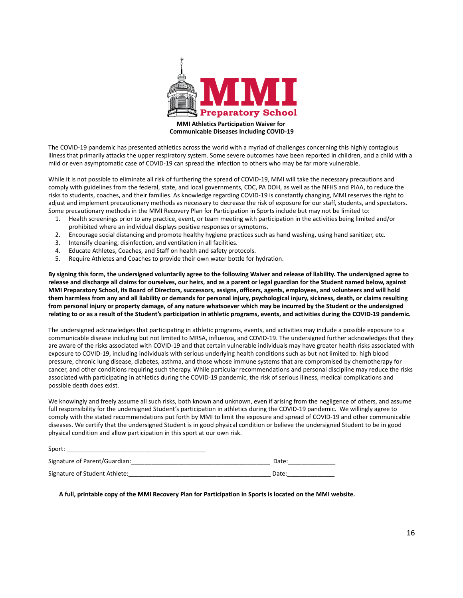

**Communicable Diseases Including COVID-19**

The COVID-19 pandemic has presented athletics across the world with a myriad of challenges concerning this highly contagious illness that primarily attacks the upper respiratory system. Some severe outcomes have been reported in children, and a child with a mild or even asymptomatic case of COVID-19 can spread the infection to others who may be far more vulnerable.

While it is not possible to eliminate all risk of furthering the spread of COVID-19, MMI will take the necessary precautions and comply with guidelines from the federal, state, and local governments, CDC, PA DOH, as well as the NFHS and PIAA, to reduce the risks to students, coaches, and their families. As knowledge regarding COVID-19 is constantly changing, MMI reserves the right to adjust and implement precautionary methods as necessary to decrease the risk of exposure for our staff, students, and spectators. Some precautionary methods in the MMI Recovery Plan for Participation in Sports include but may not be limited to:

- 1. Health screenings prior to any practice, event, or team meeting with participation in the activities being limited and/or prohibited where an individual displays positive responses or symptoms.
- 2. Encourage social distancing and promote healthy hygiene practices such as hand washing, using hand sanitizer, etc.
- 3. Intensify cleaning, disinfection, and ventilation in all facilities.
- 4. Educate Athletes, Coaches, and Staff on health and safety protocols.
- 5. Require Athletes and Coaches to provide their own water bottle for hydration.

**By signing this form, the undersigned voluntarily agree to the following Waiver and release of liability. The undersigned agree to release and discharge all claims for ourselves, our heirs, and as a parent or legal guardian for the Student named below, against MMI Preparatory School, its Board of Directors, successors, assigns, officers, agents, employees, and volunteers and will hold them harmless from any and all liability or demands for personal injury, psychological injury, sickness, death, or claims resulting from personal injury or property damage, of any nature whatsoever which may be incurred by the Student or the undersigned relating to or as a result of the Student's participation in athletic programs, events, and activities during the COVID-19 pandemic.**

The undersigned acknowledges that participating in athletic programs, events, and activities may include a possible exposure to a communicable disease including but not limited to MRSA, influenza, and COVID-19. The undersigned further acknowledges that they are aware of the risks associated with COVID-19 and that certain vulnerable individuals may have greater health risks associated with exposure to COVID-19, including individuals with serious underlying health conditions such as but not limited to: high blood pressure, chronic lung disease, diabetes, asthma, and those whose immune systems that are compromised by chemotherapy for cancer, and other conditions requiring such therapy. While particular recommendations and personal discipline may reduce the risks associated with participating in athletics during the COVID-19 pandemic, the risk of serious illness, medical complications and possible death does exist.

We knowingly and freely assume all such risks, both known and unknown, even if arising from the negligence of others, and assume full responsibility for the undersigned Student's participation in athletics during the COVID-19 pandemic. We willingly agree to comply with the stated recommendations put forth by MMI to limit the exposure and spread of COVID-19 and other communicable diseases. We certify that the undersigned Student is in good physical condition or believe the undersigned Student to be in good physical condition and allow participation in this sport at our own risk.

| Sport:                        |       |
|-------------------------------|-------|
| Signature of Parent/Guardian: | Date: |
| Signature of Student Athlete: | Date: |

**A full, printable copy of the MMI Recovery Plan for Participation in Sports is located on the MMI website.**